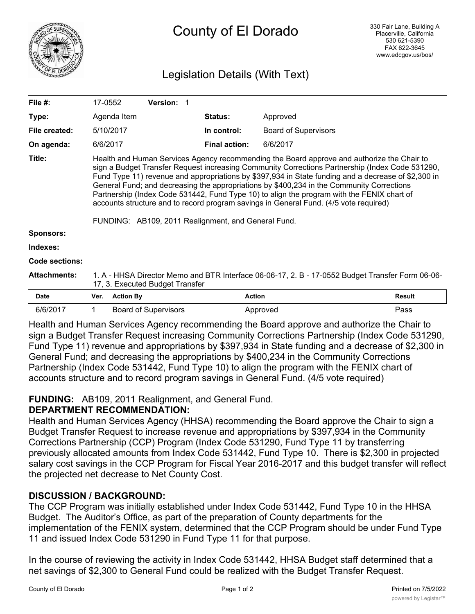

# County of El Dorado

## Legislation Details (With Text)

| File $#$ :            | 17-0552                                                                                                                                                                                                                                                                                                                                                                                                                                                                                                                                                                                                                                         |                  | Version: 1                  |                      |                             |               |
|-----------------------|-------------------------------------------------------------------------------------------------------------------------------------------------------------------------------------------------------------------------------------------------------------------------------------------------------------------------------------------------------------------------------------------------------------------------------------------------------------------------------------------------------------------------------------------------------------------------------------------------------------------------------------------------|------------------|-----------------------------|----------------------|-----------------------------|---------------|
| Type:                 |                                                                                                                                                                                                                                                                                                                                                                                                                                                                                                                                                                                                                                                 | Agenda Item      |                             | <b>Status:</b>       | Approved                    |               |
| File created:         | 5/10/2017                                                                                                                                                                                                                                                                                                                                                                                                                                                                                                                                                                                                                                       |                  |                             | In control:          | <b>Board of Supervisors</b> |               |
| On agenda:            | 6/6/2017                                                                                                                                                                                                                                                                                                                                                                                                                                                                                                                                                                                                                                        |                  |                             | <b>Final action:</b> | 6/6/2017                    |               |
| Title:                | Health and Human Services Agency recommending the Board approve and authorize the Chair to<br>sign a Budget Transfer Request increasing Community Corrections Partnership (Index Code 531290,<br>Fund Type 11) revenue and appropriations by \$397,934 in State funding and a decrease of \$2,300 in<br>General Fund; and decreasing the appropriations by \$400,234 in the Community Corrections<br>Partnership (Index Code 531442, Fund Type 10) to align the program with the FENIX chart of<br>accounts structure and to record program savings in General Fund. (4/5 vote required)<br>FUNDING: AB109, 2011 Realignment, and General Fund. |                  |                             |                      |                             |               |
| <b>Sponsors:</b>      |                                                                                                                                                                                                                                                                                                                                                                                                                                                                                                                                                                                                                                                 |                  |                             |                      |                             |               |
| Indexes:              |                                                                                                                                                                                                                                                                                                                                                                                                                                                                                                                                                                                                                                                 |                  |                             |                      |                             |               |
| <b>Code sections:</b> |                                                                                                                                                                                                                                                                                                                                                                                                                                                                                                                                                                                                                                                 |                  |                             |                      |                             |               |
| <b>Attachments:</b>   | 1. A - HHSA Director Memo and BTR Interface 06-06-17, 2. B - 17-0552 Budget Transfer Form 06-06-<br>17, 3. Executed Budget Transfer                                                                                                                                                                                                                                                                                                                                                                                                                                                                                                             |                  |                             |                      |                             |               |
| <b>Date</b>           | Ver.                                                                                                                                                                                                                                                                                                                                                                                                                                                                                                                                                                                                                                            | <b>Action By</b> |                             | <b>Action</b>        |                             | <b>Result</b> |
| 6/6/2017              | 1.                                                                                                                                                                                                                                                                                                                                                                                                                                                                                                                                                                                                                                              |                  | <b>Board of Supervisors</b> |                      | Approved                    | Pass          |

Health and Human Services Agency recommending the Board approve and authorize the Chair to sign a Budget Transfer Request increasing Community Corrections Partnership (Index Code 531290, Fund Type 11) revenue and appropriations by \$397,934 in State funding and a decrease of \$2,300 in General Fund; and decreasing the appropriations by \$400,234 in the Community Corrections Partnership (Index Code 531442, Fund Type 10) to align the program with the FENIX chart of accounts structure and to record program savings in General Fund. (4/5 vote required)

## **FUNDING:** AB109, 2011 Realignment, and General Fund.

## **DEPARTMENT RECOMMENDATION:**

Health and Human Services Agency (HHSA) recommending the Board approve the Chair to sign a Budget Transfer Request to increase revenue and appropriations by \$397,934 in the Community Corrections Partnership (CCP) Program (Index Code 531290, Fund Type 11 by transferring previously allocated amounts from Index Code 531442, Fund Type 10. There is \$2,300 in projected salary cost savings in the CCP Program for Fiscal Year 2016-2017 and this budget transfer will reflect the projected net decrease to Net County Cost.

## **DISCUSSION / BACKGROUND:**

The CCP Program was initially established under Index Code 531442, Fund Type 10 in the HHSA Budget. The Auditor's Office, as part of the preparation of County departments for the implementation of the FENIX system, determined that the CCP Program should be under Fund Type 11 and issued Index Code 531290 in Fund Type 11 for that purpose.

In the course of reviewing the activity in Index Code 531442, HHSA Budget staff determined that a net savings of \$2,300 to General Fund could be realized with the Budget Transfer Request.